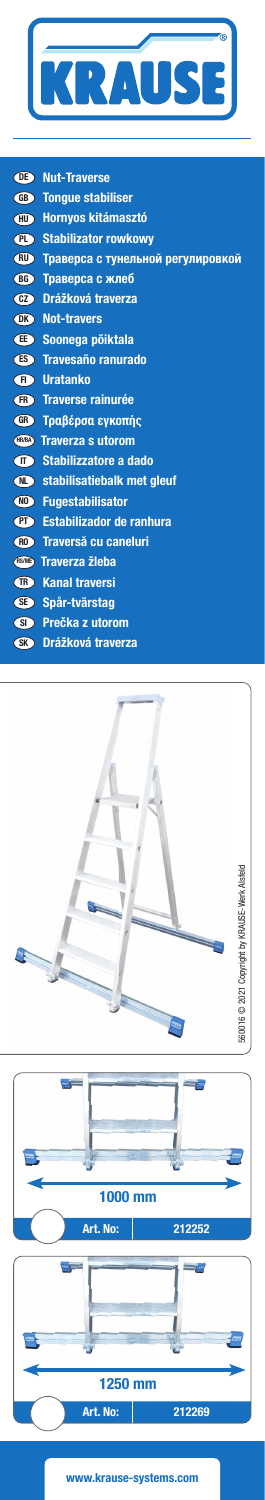

| (DE)  | <b>Nut-Traverse</b>               |
|-------|-----------------------------------|
| GB)   | <b>Tonque stabiliser</b>          |
| (HU)  | <b>Hornyos kitámasztó</b>         |
|       | <b>CD</b> Stabilizator rowkowy    |
| (RU)  | Траверса с тунельной регулировкой |
|       | <b>ВВ Траверса с жлеб</b>         |
| $cz$  | Drážková traverza                 |
|       | <b>OK</b> Not-travers             |
|       | <b>ED</b> Soonega põiktala        |
|       | <b>ES</b> Travesaño ranurado      |
| (H)   | <b>Uratanko</b>                   |
|       | <b>GB</b> Traverse rainurée       |
| GR    | Τραβέρσα εγκοπής                  |
|       | <b>GREA</b> Traverza s utorom     |
|       | <b>CO</b> Stabilizzatore a dado   |
|       | stabilisatiebalk met gleuf        |
| (NO)  | <b>Fugestabilisator</b>           |
| (PT)  | Estabilizador de ranhura          |
| (R0)  | Traversă cu caneluri              |
| RS/ME | Traverza žleba                    |
|       | <b>GB</b> Kanal traversi          |
|       | SE Spår-tvärstag                  |
| (SI)  | Prečka z utorom                   |
| (SK)  | Drážková traverza                 |
|       |                                   |







www.krause-systems.com